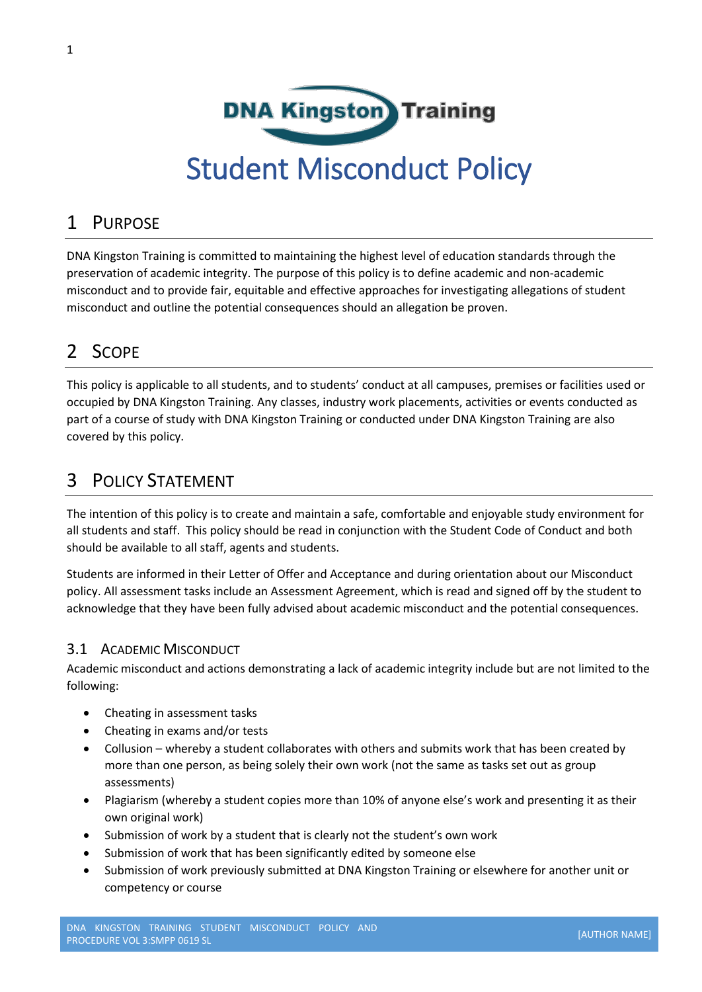

### 1 PURPOSE

DNA Kingston Training is committed to maintaining the highest level of education standards through the preservation of academic integrity. The purpose of this policy is to define academic and non-academic misconduct and to provide fair, equitable and effective approaches for investigating allegations of student misconduct and outline the potential consequences should an allegation be proven.

## 2 SCOPE

This policy is applicable to all students, and to students' conduct at all campuses, premises or facilities used or occupied by DNA Kingston Training. Any classes, industry work placements, activities or events conducted as part of a course of study with DNA Kingston Training or conducted under DNA Kingston Training are also covered by this policy.

### 3 POLICY STATEMENT

The intention of this policy is to create and maintain a safe, comfortable and enjoyable study environment for all students and staff. This policy should be read in conjunction with the Student Code of Conduct and both should be available to all staff, agents and students.

Students are informed in their Letter of Offer and Acceptance and during orientation about our Misconduct policy. All assessment tasks include an Assessment Agreement, which is read and signed off by the student to acknowledge that they have been fully advised about academic misconduct and the potential consequences.

#### 3.1 ACADEMIC MISCONDUCT

Academic misconduct and actions demonstrating a lack of academic integrity include but are not limited to the following:

- Cheating in assessment tasks
- Cheating in exams and/or tests
- Collusion whereby a student collaborates with others and submits work that has been created by more than one person, as being solely their own work (not the same as tasks set out as group assessments)
- Plagiarism (whereby a student copies more than 10% of anyone else's work and presenting it as their own original work)
- Submission of work by a student that is clearly not the student's own work
- Submission of work that has been significantly edited by someone else
- Submission of work previously submitted at DNA Kingston Training or elsewhere for another unit or competency or course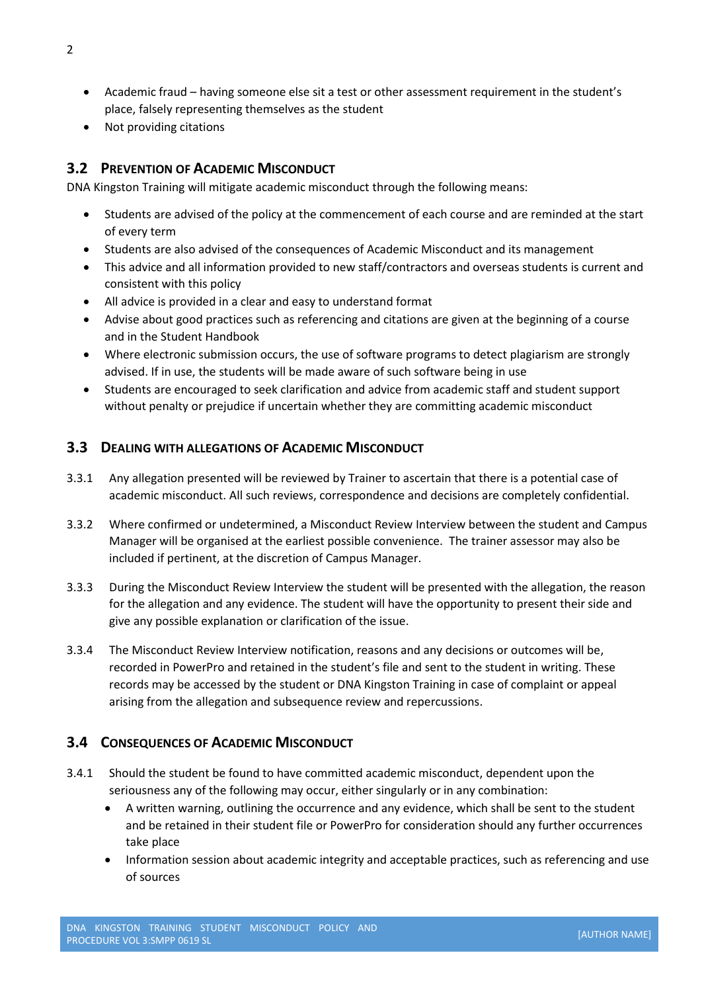- Academic fraud having someone else sit a test or other assessment requirement in the student's place, falsely representing themselves as the student
- Not providing citations

#### **3.2 PREVENTION OF ACADEMIC MISCONDUCT**

DNA Kingston Training will mitigate academic misconduct through the following means:

- Students are advised of the policy at the commencement of each course and are reminded at the start of every term
- Students are also advised of the consequences of Academic Misconduct and its management
- This advice and all information provided to new staff/contractors and overseas students is current and consistent with this policy
- All advice is provided in a clear and easy to understand format
- Advise about good practices such as referencing and citations are given at the beginning of a course and in the Student Handbook
- Where electronic submission occurs, the use of software programs to detect plagiarism are strongly advised. If in use, the students will be made aware of such software being in use
- Students are encouraged to seek clarification and advice from academic staff and student support without penalty or prejudice if uncertain whether they are committing academic misconduct

#### **3.3 DEALING WITH ALLEGATIONS OF ACADEMIC MISCONDUCT**

- 3.3.1 Any allegation presented will be reviewed by Trainer to ascertain that there is a potential case of academic misconduct. All such reviews, correspondence and decisions are completely confidential.
- 3.3.2 Where confirmed or undetermined, a Misconduct Review Interview between the student and Campus Manager will be organised at the earliest possible convenience. The trainer assessor may also be included if pertinent, at the discretion of Campus Manager.
- 3.3.3 During the Misconduct Review Interview the student will be presented with the allegation, the reason for the allegation and any evidence. The student will have the opportunity to present their side and give any possible explanation or clarification of the issue.
- 3.3.4 The Misconduct Review Interview notification, reasons and any decisions or outcomes will be, recorded in PowerPro and retained in the student's file and sent to the student in writing. These records may be accessed by the student or DNA Kingston Training in case of complaint or appeal arising from the allegation and subsequence review and repercussions.

#### **3.4 CONSEQUENCES OF ACADEMIC MISCONDUCT**

- 3.4.1 Should the student be found to have committed academic misconduct, dependent upon the seriousness any of the following may occur, either singularly or in any combination:
	- A written warning, outlining the occurrence and any evidence, which shall be sent to the student and be retained in their student file or PowerPro for consideration should any further occurrences take place
	- Information session about academic integrity and acceptable practices, such as referencing and use of sources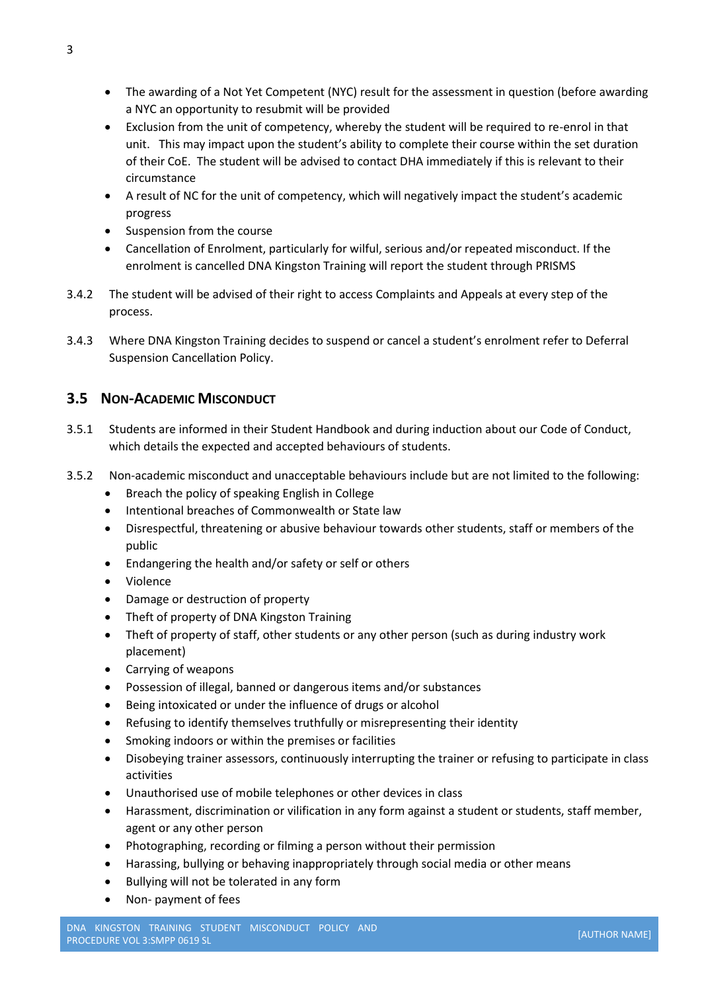- The awarding of a Not Yet Competent (NYC) result for the assessment in question (before awarding a NYC an opportunity to resubmit will be provided
- Exclusion from the unit of competency, whereby the student will be required to re-enrol in that unit. This may impact upon the student's ability to complete their course within the set duration of their CoE. The student will be advised to contact DHA immediately if this is relevant to their circumstance
- A result of NC for the unit of competency, which will negatively impact the student's academic progress
- Suspension from the course
- Cancellation of Enrolment, particularly for wilful, serious and/or repeated misconduct. If the enrolment is cancelled DNA Kingston Training will report the student through PRISMS
- 3.4.2 The student will be advised of their right to access Complaints and Appeals at every step of the process.
- 3.4.3 Where DNA Kingston Training decides to suspend or cancel a student's enrolment refer to Deferral Suspension Cancellation Policy.

#### **3.5 NON-ACADEMIC MISCONDUCT**

- 3.5.1 Students are informed in their Student Handbook and during induction about our Code of Conduct, which details the expected and accepted behaviours of students.
- 3.5.2 Non-academic misconduct and unacceptable behaviours include but are not limited to the following:
	- Breach the policy of speaking English in College
	- Intentional breaches of Commonwealth or State law
	- Disrespectful, threatening or abusive behaviour towards other students, staff or members of the public
	- Endangering the health and/or safety or self or others
	- Violence
	- Damage or destruction of property
	- Theft of property of DNA Kingston Training
	- Theft of property of staff, other students or any other person (such as during industry work placement)
	- Carrying of weapons
	- Possession of illegal, banned or dangerous items and/or substances
	- Being intoxicated or under the influence of drugs or alcohol
	- Refusing to identify themselves truthfully or misrepresenting their identity
	- Smoking indoors or within the premises or facilities
	- Disobeying trainer assessors, continuously interrupting the trainer or refusing to participate in class activities
	- Unauthorised use of mobile telephones or other devices in class
	- Harassment, discrimination or vilification in any form against a student or students, staff member, agent or any other person
	- Photographing, recording or filming a person without their permission
	- Harassing, bullying or behaving inappropriately through social media or other means
	- Bullying will not be tolerated in any form
	- Non- payment of fees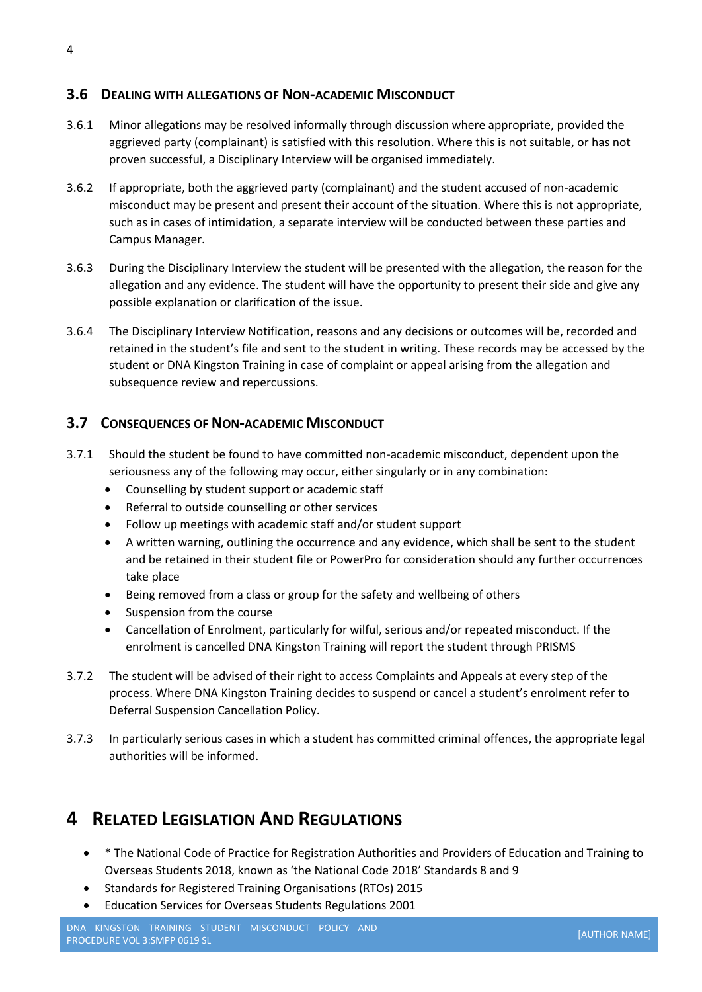#### **3.6 DEALING WITH ALLEGATIONS OF NON-ACADEMIC MISCONDUCT**

- 3.6.1 Minor allegations may be resolved informally through discussion where appropriate, provided the aggrieved party (complainant) is satisfied with this resolution. Where this is not suitable, or has not proven successful, a Disciplinary Interview will be organised immediately.
- 3.6.2 If appropriate, both the aggrieved party (complainant) and the student accused of non-academic misconduct may be present and present their account of the situation. Where this is not appropriate, such as in cases of intimidation, a separate interview will be conducted between these parties and Campus Manager.
- 3.6.3 During the Disciplinary Interview the student will be presented with the allegation, the reason for the allegation and any evidence. The student will have the opportunity to present their side and give any possible explanation or clarification of the issue.
- 3.6.4 The Disciplinary Interview Notification, reasons and any decisions or outcomes will be, recorded and retained in the student's file and sent to the student in writing. These records may be accessed by the student or DNA Kingston Training in case of complaint or appeal arising from the allegation and subsequence review and repercussions.

#### **3.7 CONSEQUENCES OF NON-ACADEMIC MISCONDUCT**

- 3.7.1 Should the student be found to have committed non-academic misconduct, dependent upon the seriousness any of the following may occur, either singularly or in any combination:
	- Counselling by student support or academic staff
	- Referral to outside counselling or other services
	- Follow up meetings with academic staff and/or student support
	- A written warning, outlining the occurrence and any evidence, which shall be sent to the student and be retained in their student file or PowerPro for consideration should any further occurrences take place
	- Being removed from a class or group for the safety and wellbeing of others
	- Suspension from the course
	- Cancellation of Enrolment, particularly for wilful, serious and/or repeated misconduct. If the enrolment is cancelled DNA Kingston Training will report the student through PRISMS
- 3.7.2 The student will be advised of their right to access Complaints and Appeals at every step of the process. Where DNA Kingston Training decides to suspend or cancel a student's enrolment refer to Deferral Suspension Cancellation Policy.
- 3.7.3 In particularly serious cases in which a student has committed criminal offences, the appropriate legal authorities will be informed.

### **4 RELATED LEGISLATION AND REGULATIONS**

- \* The National Code of Practice for Registration Authorities and Providers of Education and Training to Overseas Students 2018, known as 'the National Code 2018' Standards 8 and 9
- Standards for Registered Training Organisations (RTOs) 2015
- Education Services for Overseas Students Regulations 2001